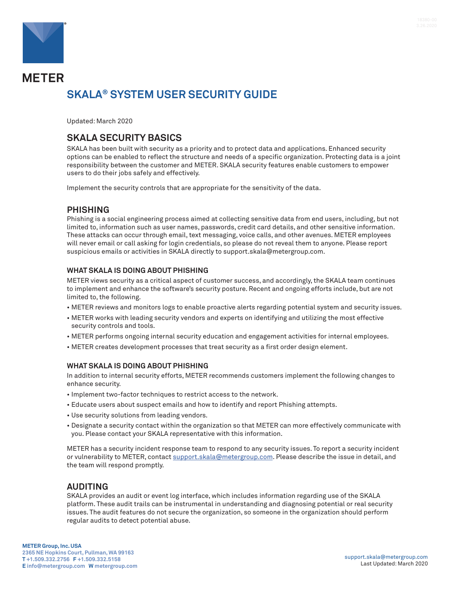

# **METER SKALA® SYSTEM USER SECURITY GUIDE**

Updated: March 2020

## **SKALA SECURITY BASICS**

SKALA has been built with security as a priority and to protect data and applications. Enhanced security options can be enabled to reflect the structure and needs of a specific organization. Protecting data is a joint responsibility between the customer and METER. SKALA security features enable customers to empower users to do their jobs safely and effectively.

Implement the security controls that are appropriate for the sensitivity of the data.

### **PHISHING**

Phishing is a social engineering process aimed at collecting sensitive data from end users, including, but not limited to, information such as user names, passwords, credit card details, and other sensitive information. These attacks can occur through email, text messaging, voice calls, and other avenues. METER employees will never email or call asking for login credentials, so please do not reveal them to anyone. Please report suspicious emails or activities in SKALA directly to support.skala@metergroup.com.

#### **WHAT SKALA IS DOING ABOUT PHISHING**

METER views security as a critical aspect of customer success, and accordingly, the SKALA team continues to implement and enhance the software's security posture. Recent and ongoing efforts include, but are not limited to, the following.

- METER reviews and monitors logs to enable proactive alerts regarding potential system and security issues.
- METER works with leading security vendors and experts on identifying and utilizing the most effective security controls and tools.
- METER performs ongoing internal security education and engagement activities for internal employees.
- METER creates development processes that treat security as a first order design element.

#### **WHAT SKALA IS DOING ABOUT PHISHING**

In addition to internal security efforts, METER recommends customers implement the following changes to enhance security.

- Implement two-factor techniques to restrict access to the network.
- Educate users about suspect emails and how to identify and report Phishing attempts.
- Use security solutions from leading vendors.
- Designate a security contact within the organization so that METER can more effectively communicate with you. Please contact your SKALA representative with this information.

METER has a security incident response team to respond to any security issues. To report a security incident or vulnerability to METER, contact [support.skala@metergroup.com](mailto:support.skala@metergroup.com). Please describe the issue in detail, and the team will respond promptly.

## **AUDITING**

SKALA provides an audit or event log interface, which includes information regarding use of the SKALA platform. These audit trails can be instrumental in understanding and diagnosing potential or real security issues. The audit features do not secure the organization, so someone in the organization should perform regular audits to detect potential abuse.